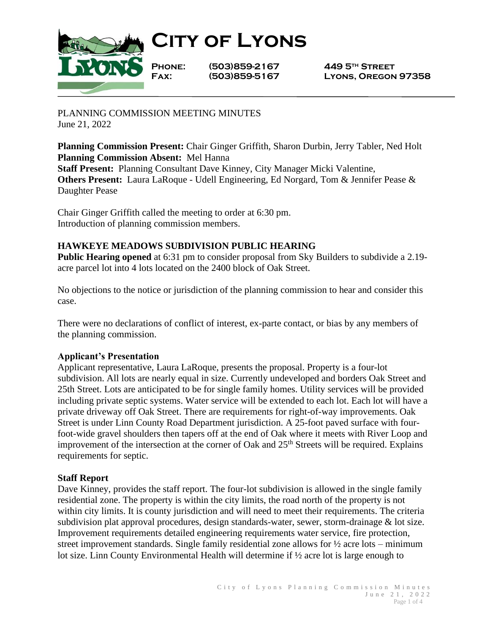

**City of Lyons**

**Phone: (503)859-2167 449 5th Street**

**Fax: (503)859-5167 Lyons, Oregon 97358**

PLANNING COMMISSION MEETING MINUTES June 21, 2022

**Planning Commission Present:** Chair Ginger Griffith, Sharon Durbin, Jerry Tabler, Ned Holt **Planning Commission Absent:** Mel Hanna **Staff Present:** Planning Consultant Dave Kinney, City Manager Micki Valentine, **Others Present:** Laura LaRoque - Udell Engineering, Ed Norgard, Tom & Jennifer Pease & Daughter Pease

Chair Ginger Griffith called the meeting to order at 6:30 pm. Introduction of planning commission members.

# **HAWKEYE MEADOWS SUBDIVISION PUBLIC HEARING**

**Public Hearing opened** at 6:31 pm to consider proposal from Sky Builders to subdivide a 2.19 acre parcel lot into 4 lots located on the 2400 block of Oak Street.

No objections to the notice or jurisdiction of the planning commission to hear and consider this case.

There were no declarations of conflict of interest, ex-parte contact, or bias by any members of the planning commission.

## **Applicant's Presentation**

Applicant representative, Laura LaRoque, presents the proposal. Property is a four-lot subdivision. All lots are nearly equal in size. Currently undeveloped and borders Oak Street and 25th Street. Lots are anticipated to be for single family homes. Utility services will be provided including private septic systems. Water service will be extended to each lot. Each lot will have a private driveway off Oak Street. There are requirements for right-of-way improvements. Oak Street is under Linn County Road Department jurisdiction. A 25-foot paved surface with fourfoot-wide gravel shoulders then tapers off at the end of Oak where it meets with River Loop and improvement of the intersection at the corner of Oak and  $25<sup>th</sup>$  Streets will be required. Explains requirements for septic.

## **Staff Report**

Dave Kinney, provides the staff report. The four-lot subdivision is allowed in the single family residential zone. The property is within the city limits, the road north of the property is not within city limits. It is county jurisdiction and will need to meet their requirements. The criteria subdivision plat approval procedures, design standards-water, sewer, storm-drainage & lot size. Improvement requirements detailed engineering requirements water service, fire protection, street improvement standards. Single family residential zone allows for ½ acre lots – minimum lot size. Linn County Environmental Health will determine if ½ acre lot is large enough to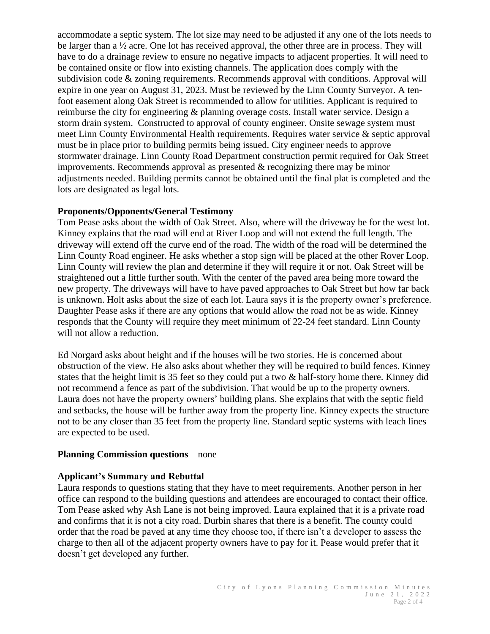accommodate a septic system. The lot size may need to be adjusted if any one of the lots needs to be larger than a  $\frac{1}{2}$  acre. One lot has received approval, the other three are in process. They will have to do a drainage review to ensure no negative impacts to adjacent properties. It will need to be contained onsite or flow into existing channels. The application does comply with the subdivision code & zoning requirements. Recommends approval with conditions. Approval will expire in one year on August 31, 2023. Must be reviewed by the Linn County Surveyor. A tenfoot easement along Oak Street is recommended to allow for utilities. Applicant is required to reimburse the city for engineering & planning overage costs. Install water service. Design a storm drain system. Constructed to approval of county engineer. Onsite sewage system must meet Linn County Environmental Health requirements. Requires water service & septic approval must be in place prior to building permits being issued. City engineer needs to approve stormwater drainage. Linn County Road Department construction permit required for Oak Street improvements. Recommends approval as presented & recognizing there may be minor adjustments needed. Building permits cannot be obtained until the final plat is completed and the lots are designated as legal lots.

## **Proponents/Opponents/General Testimony**

Tom Pease asks about the width of Oak Street. Also, where will the driveway be for the west lot. Kinney explains that the road will end at River Loop and will not extend the full length. The driveway will extend off the curve end of the road. The width of the road will be determined the Linn County Road engineer. He asks whether a stop sign will be placed at the other Rover Loop. Linn County will review the plan and determine if they will require it or not. Oak Street will be straightened out a little further south. With the center of the paved area being more toward the new property. The driveways will have to have paved approaches to Oak Street but how far back is unknown. Holt asks about the size of each lot. Laura says it is the property owner's preference. Daughter Pease asks if there are any options that would allow the road not be as wide. Kinney responds that the County will require they meet minimum of 22-24 feet standard. Linn County will not allow a reduction.

Ed Norgard asks about height and if the houses will be two stories. He is concerned about obstruction of the view. He also asks about whether they will be required to build fences. Kinney states that the height limit is 35 feet so they could put a two & half-story home there. Kinney did not recommend a fence as part of the subdivision. That would be up to the property owners. Laura does not have the property owners' building plans. She explains that with the septic field and setbacks, the house will be further away from the property line. Kinney expects the structure not to be any closer than 35 feet from the property line. Standard septic systems with leach lines are expected to be used.

## **Planning Commission questions** – none

## **Applicant's Summary and Rebuttal**

Laura responds to questions stating that they have to meet requirements. Another person in her office can respond to the building questions and attendees are encouraged to contact their office. Tom Pease asked why Ash Lane is not being improved. Laura explained that it is a private road and confirms that it is not a city road. Durbin shares that there is a benefit. The county could order that the road be paved at any time they choose too, if there isn't a developer to assess the charge to then all of the adjacent property owners have to pay for it. Pease would prefer that it doesn't get developed any further.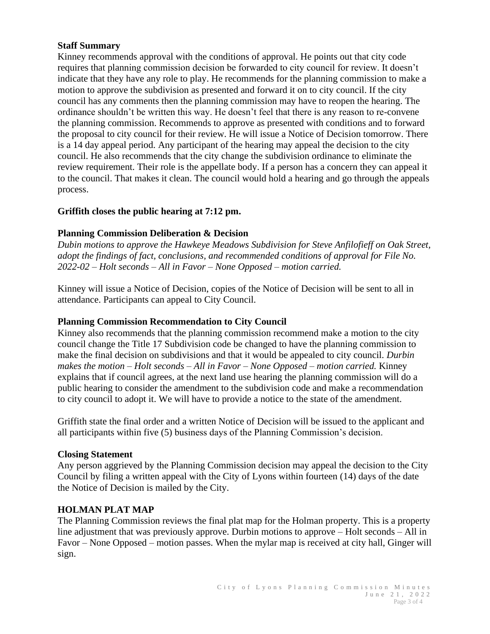## **Staff Summary**

Kinney recommends approval with the conditions of approval. He points out that city code requires that planning commission decision be forwarded to city council for review. It doesn't indicate that they have any role to play. He recommends for the planning commission to make a motion to approve the subdivision as presented and forward it on to city council. If the city council has any comments then the planning commission may have to reopen the hearing. The ordinance shouldn't be written this way. He doesn't feel that there is any reason to re-convene the planning commission. Recommends to approve as presented with conditions and to forward the proposal to city council for their review. He will issue a Notice of Decision tomorrow. There is a 14 day appeal period. Any participant of the hearing may appeal the decision to the city council. He also recommends that the city change the subdivision ordinance to eliminate the review requirement. Their role is the appellate body. If a person has a concern they can appeal it to the council. That makes it clean. The council would hold a hearing and go through the appeals process.

## **Griffith closes the public hearing at 7:12 pm.**

# **Planning Commission Deliberation & Decision**

*Dubin motions to approve the Hawkeye Meadows Subdivision for Steve Anfilofieff on Oak Street, adopt the findings of fact, conclusions, and recommended conditions of approval for File No. 2022-02 – Holt seconds – All in Favor – None Opposed – motion carried.* 

Kinney will issue a Notice of Decision, copies of the Notice of Decision will be sent to all in attendance. Participants can appeal to City Council.

## **Planning Commission Recommendation to City Council**

Kinney also recommends that the planning commission recommend make a motion to the city council change the Title 17 Subdivision code be changed to have the planning commission to make the final decision on subdivisions and that it would be appealed to city council. *Durbin makes the motion – Holt seconds – All in Favor – None Opposed – motion carried.* Kinney explains that if council agrees, at the next land use hearing the planning commission will do a public hearing to consider the amendment to the subdivision code and make a recommendation to city council to adopt it. We will have to provide a notice to the state of the amendment.

Griffith state the final order and a written Notice of Decision will be issued to the applicant and all participants within five (5) business days of the Planning Commission's decision.

## **Closing Statement**

Any person aggrieved by the Planning Commission decision may appeal the decision to the City Council by filing a written appeal with the City of Lyons within fourteen (14) days of the date the Notice of Decision is mailed by the City.

## **HOLMAN PLAT MAP**

The Planning Commission reviews the final plat map for the Holman property. This is a property line adjustment that was previously approve. Durbin motions to approve – Holt seconds – All in Favor – None Opposed – motion passes. When the mylar map is received at city hall, Ginger will sign.